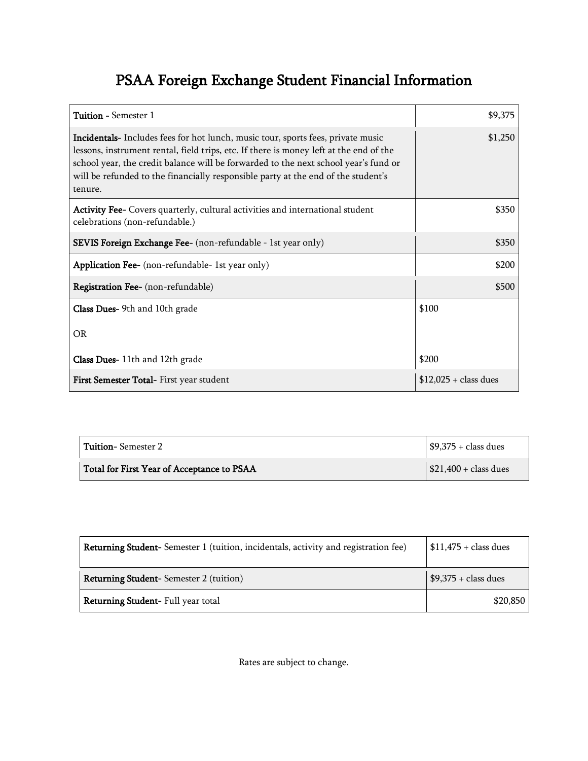## PSAA Foreign Exchange Student Financial Information

| Tuition - Semester 1                                                                                                                                                                                                                                                                                                                                                     | \$9,375                |
|--------------------------------------------------------------------------------------------------------------------------------------------------------------------------------------------------------------------------------------------------------------------------------------------------------------------------------------------------------------------------|------------------------|
| <b>Incidentals-</b> Includes fees for hot lunch, music tour, sports fees, private music<br>lessons, instrument rental, field trips, etc. If there is money left at the end of the<br>school year, the credit balance will be forwarded to the next school year's fund or<br>will be refunded to the financially responsible party at the end of the student's<br>tenure. | \$1,250                |
| Activity Fee- Covers quarterly, cultural activities and international student<br>celebrations (non-refundable.)                                                                                                                                                                                                                                                          | \$350                  |
| <b>SEVIS Foreign Exchange Fee-</b> (non-refundable - 1st year only)                                                                                                                                                                                                                                                                                                      | \$350                  |
| Application Fee- (non-refundable- 1st year only)                                                                                                                                                                                                                                                                                                                         | \$200                  |
| <b>Registration Fee-</b> (non-refundable)                                                                                                                                                                                                                                                                                                                                | \$500                  |
| <b>Class Dues-</b> 9th and 10th grade                                                                                                                                                                                                                                                                                                                                    | \$100                  |
| <b>OR</b>                                                                                                                                                                                                                                                                                                                                                                |                        |
| Class Dues-11th and 12th grade                                                                                                                                                                                                                                                                                                                                           | \$200                  |
| First Semester Total- First year student                                                                                                                                                                                                                                                                                                                                 | $$12,025 + class$ dues |

| <b>Tuition-Semester 2</b>                  | $\frac{1}{2}$ \$9,375 + class dues  |
|--------------------------------------------|-------------------------------------|
| Total for First Year of Acceptance to PSAA | $\frac{1}{2}$ \$21,400 + class dues |

| Returning Student-Semester 1 (tuition, incidentals, activity and registration fee) | $$11,475 + class$ dues |
|------------------------------------------------------------------------------------|------------------------|
| <b>Returning Student-</b> Semester 2 (tuition)                                     | $$9,375 + class$ dues  |
| Returning Student- Full year total                                                 | \$20,850               |

Rates are subject to change.